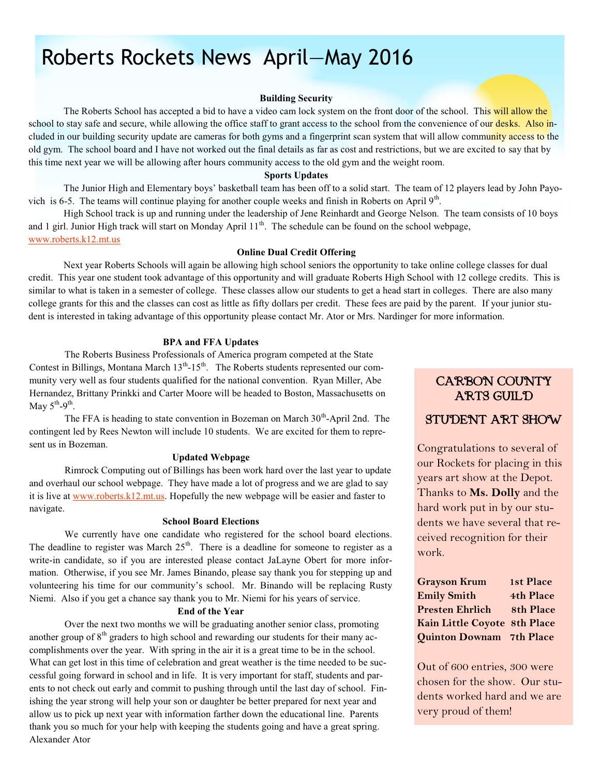# Roberts Rockets News April—May 2016

#### **Building Security**

The Roberts School has accepted a bid to have a video cam lock system on the front door of the school. This will allow the school to stay safe and secure, while allowing the office staff to grant access to the school from the convenience of our desks. Also included in our building security update are cameras for both gyms and a fingerprint scan system that will allow community access to the old gym. The school board and I have not worked out the final details as far as cost and restrictions, but we are excited to say that by this time next year we will be allowing after hours community access to the old gym and the weight room.

#### **Sports Updates**

The Junior High and Elementary boys' basketball team has been off to a solid start. The team of 12 players lead by John Payovich is 6-5. The teams will continue playing for another couple weeks and finish in Roberts on April 9<sup>th</sup>.

High School track is up and running under the leadership of Jene Reinhardt and George Nelson. The team consists of 10 boys and 1 girl. Junior High track will start on Monday April 11<sup>th</sup>. The schedule can be found on the school webpage, www.roberts.k12.mt.us

#### **Online Dual Credit Offering**

Next year Roberts Schools will again be allowing high school seniors the opportunity to take online college classes for dual credit. This year one student took advantage of this opportunity and will graduate Roberts High School with 12 college credits. This is similar to what is taken in a semester of college. These classes allow our students to get a head start in colleges. There are also many college grants for this and the classes can cost as little as fifty dollars per credit. These fees are paid by the parent. If your junior student is interested in taking advantage of this opportunity please contact Mr. Ator or Mrs. Nardinger for more information.

### **BPA and FFA Updates**

The Roberts Business Professionals of America program competed at the State Contest in Billings, Montana March  $13<sup>th</sup>$ -15<sup>th</sup>. The Roberts students represented our community very well as four students qualified for the national convention. Ryan Miller, Abe Hernandez, Brittany Prinkki and Carter Moore will be headed to Boston, Massachusetts on May  $5^{\text{th}}-9^{\text{th}}$ .

The FFA is heading to state convention in Bozeman on March  $30<sup>th</sup>$ -April 2nd. The contingent led by Rees Newton will include 10 students. We are excited for them to represent us in Bozeman.

### **Updated Webpage**

 Rimrock Computing out of Billings has been work hard over the last year to update and overhaul our school webpage. They have made a lot of progress and we are glad to say it is live at www.roberts.k12.mt.us. Hopefully the new webpage will be easier and faster to navigate.

#### **School Board Elections**

 We currently have one candidate who registered for the school board elections. The deadline to register was March  $25<sup>th</sup>$ . There is a deadline for someone to register as a write-in candidate, so if you are interested please contact JaLayne Obert for more information. Otherwise, if you see Mr. James Binando, please say thank you for stepping up and volunteering his time for our community's school. Mr. Binando will be replacing Rusty Niemi. Also if you get a chance say thank you to Mr. Niemi for his years of service.

### **End of the Year**

 Over the next two months we will be graduating another senior class, promoting another group of  $8<sup>th</sup>$  graders to high school and rewarding our students for their many accomplishments over the year. With spring in the air it is a great time to be in the school. What can get lost in this time of celebration and great weather is the time needed to be successful going forward in school and in life. It is very important for staff, students and parents to not check out early and commit to pushing through until the last day of school. Finishing the year strong will help your son or daughter be better prepared for next year and allow us to pick up next year with information farther down the educational line. Parents thank you so much for your help with keeping the students going and have a great spring. Alexander Ator

### CARBON COUNTY ARTS GUILD

### STUDENT ART SHOW

Congratulations to several of our Rockets for placing in this years art show at the Depot. Thanks to **Ms. Dolly** and the hard work put in by our students we have several that received recognition for their work.

| <b>Grayson Krum</b>          | 1st Place        |
|------------------------------|------------------|
| <b>Emily Smith</b>           | 4th Place        |
| <b>Presten Ehrlich</b>       | <b>8th Place</b> |
| Kain Little Coyote 8th Place |                  |
| Quinton Downam 7th Place     |                  |

Out of 600 entries, 300 were chosen for the show. Our students worked hard and we are very proud of them!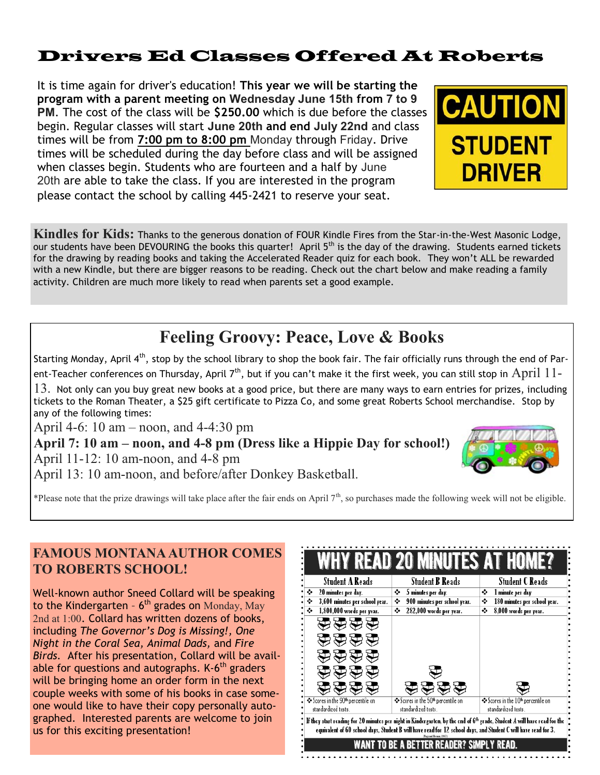### Drivers Ed Classes Offered At Roberts

It is time again for driver's education! **This year we will be starting the program with a parent meeting on Wednesday June 15th from 7 to 9 PM**. The cost of the class will be **\$250.00** which is due before the classes begin. Regular classes will start **June 20th and end July 22nd** and class times will be from **7:00 pm to 8:00 pm** Monday through Friday. Drive times will be scheduled during the day before class and will be assigned when classes begin. Students who are fourteen and a half by June 20th are able to take the class. If you are interested in the program please contact the school by calling 445-2421 to reserve your seat.



**Kindles for Kids:** Thanks to the generous donation of FOUR Kindle Fires from the Star-in-the-West Masonic Lodge, our students have been DEVOURING the books this quarter! April 5<sup>th</sup> is the day of the drawing. Students earned tickets for the drawing by reading books and taking the Accelerated Reader quiz for each book. They won't ALL be rewarded with a new Kindle, but there are bigger reasons to be reading. Check out the chart below and make reading a family activity. Children are much more likely to read when parents set a good example.

### **Feeling Groovy: Peace, Love & Books**

Starting Monday, April 4<sup>th</sup>, stop by the school library to shop the book fair. The fair officially runs through the end of Parent-Teacher conferences on Thursday, April 7<sup>th</sup>, but if you can't make it the first week, you can still stop in  $April$   $11$ -

 $13.$  Not only can you buy great new books at a good price, but there are many ways to earn entries for prizes, including tickets to the Roman Theater, a \$25 gift certificate to Pizza Co, and some great Roberts School merchandise. Stop by any of the following times:

April 4-6: 10 am – noon, and 4-4:30 pm

**April 7: 10 am – noon, and 4-8 pm (Dress like a Hippie Day for school!)** April 11-12: 10 am-noon, and 4-8 pm April 13: 10 am-noon, and before/after Donkey Basketball.



\*Please note that the prize drawings will take place after the fair ends on April  $7<sup>th</sup>$ , so purchases made the following week will not be eligible.

### **FAMOUS MONTANA AUTHOR COMES TO ROBERTS SCHOOL!**

Well-known author Sneed Collard will be speaking to the Kindergarten -  $6<sup>th</sup>$  grades on Monday, May 2nd at 1:00. Collard has written dozens of books, including *The Governor's Dog is Missing!, One Night in the Coral Sea, Animal Dads,* and *Fire Birds.* After his presentation, Collard will be available for questions and autographs.  $K-6^{th}$  graders will be bringing home an order form in the next couple weeks with some of his books in case someone would like to have their copy personally autographed. Interested parents are welcome to join us for this exciting presentation!

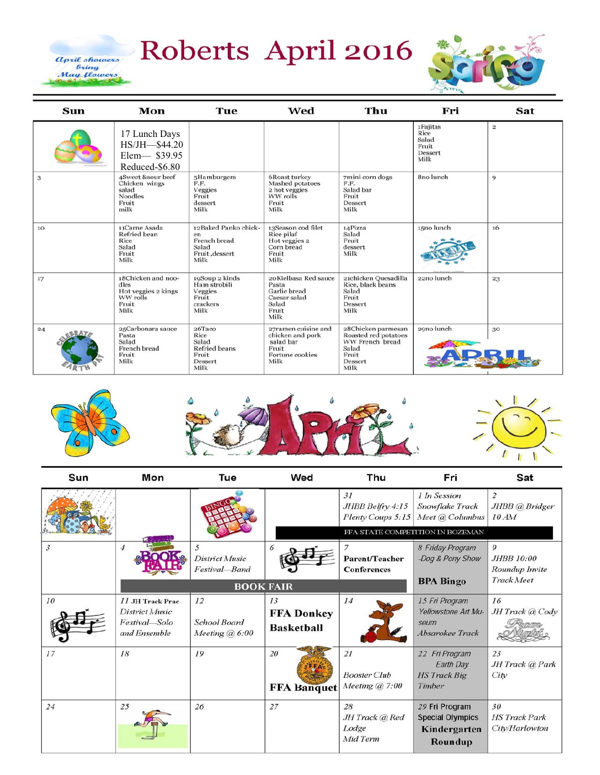# Roberts April 2016

April showers<br>bring<br>May flowers



| Sun | Mon                                                                            | Tue                                                                           | Wed                                                                                      | Thu                                                                                                | Fri                                                   | Sat                     |
|-----|--------------------------------------------------------------------------------|-------------------------------------------------------------------------------|------------------------------------------------------------------------------------------|----------------------------------------------------------------------------------------------------|-------------------------------------------------------|-------------------------|
|     | 17 Lunch Days<br>HS/JH-\$44.20<br>Elem-839.95<br>Reduced-\$6.80                |                                                                               |                                                                                          |                                                                                                    | 1Fajitas<br>Rice<br>Salad<br>Fruit<br>Dessert<br>Milk | $\overline{\mathbf{2}}$ |
| 3   | 4Sweet &sour beef<br>Chicken wings<br>salad<br><b>Noodles</b><br>Fruit<br>milk | 5Hamburgers<br>F.F.<br>Veggies<br>Fruit<br>dessert<br>Milk                    | <b>6Roast turkey</b><br>Mashed potatoes<br>2 hot veggies<br>WW rolls<br>Fruit<br>Milk    | 7mini corn dogs<br>F.F.<br>Salad bar<br>Fruit<br>Dessert<br>Milk                                   | 8no lunch                                             | 9                       |
| 10  | 11Carne Asada<br>Refried bean<br>Rice<br>Salad<br>Fruit<br>Milk                | 12Baked Panko chick-<br>en<br>French bread<br>Salad<br>Fruit, dessert<br>Milk | 13Season cod filet<br>Rice pilaf<br>Hot veggies 2<br>Corn bread<br>Fruit<br>Milk         | 14Pizza<br>Salad<br>Fruit<br>dessert<br>Milk                                                       | 15no lunch                                            | 16                      |
| 17  | 18Chicken and noo-<br>dles<br>Hot veggies 2 kings<br>WW rolls<br>Fruit<br>Milk | 19Soup 2 kinds<br>Ham strobili<br>Veggies<br>Fruit<br>crackers<br>Milk        | 20 Kielbasa Red sauce<br>Pasta<br>Garlic bread<br>Caesar salad<br>Salad<br>Fruit<br>Milk | 21chicken Quesadilla<br>Rice, black beans<br>Salad<br>Fruit<br>Dessert<br>Milk                     | 22no lunch                                            | 23                      |
| 24  | 25Carbonara sauce<br>Pasta<br>Salad<br>French bread<br>Fruit<br>Milk           | 26Taco<br>Rice<br>Salad<br><b>Refried</b> beans<br>Fruit<br>Dessert<br>Milk   | 27ramen cuisine and<br>chicken and pork<br>salad bar<br>Fruit<br>Fortune cookies<br>Milk | 28Chicken parmesan<br>Roasted red potatoes<br>WW French bread<br>Salad<br>Fruit<br>Dessert<br>Milk | 29no lunch                                            | 30                      |



| Sun | Mon                                                                 | Tue                                         | Wed                                          | Thu                                              | Fri                                                                  | Sat                                                    |
|-----|---------------------------------------------------------------------|---------------------------------------------|----------------------------------------------|--------------------------------------------------|----------------------------------------------------------------------|--------------------------------------------------------|
|     |                                                                     |                                             |                                              | 31<br>JHBB Belfry 4:15<br>Plenty Coups 5:15      | 1 In Session<br>Snowflake Track<br>Meet @ Columbus                   | $\overline{c}$<br>JHBB @ Bridger<br>10AM               |
|     |                                                                     |                                             |                                              |                                                  | FFA STATE COMPETITION IN BOZEMAN                                     |                                                        |
| 3   | $\overline{4}$                                                      | 5<br><b>District Music</b><br>Festival-Band | 6                                            | 7<br><b>Parent/Teacher</b><br><b>Conferences</b> | 8 Friday Program<br>-Dog & Pony Show                                 | 9<br><b>JHBB</b> 10:00<br>Roundup Invite<br>Track Meet |
|     |                                                                     |                                             | <b>BOOK FAIR</b>                             |                                                  | <b>BPA Bingo</b>                                                     |                                                        |
| 10  | 11 JH Track Prac<br>District Music<br>Festival-Solo<br>and Ensemble | 12<br>School Board<br>Meeting $(a)$ 6:00    | 13<br><b>FFA Donkey</b><br><b>Basketball</b> | 14                                               | 15 Fri Program<br>Yellowstone Art Mu-<br>seum<br>Absarokee Track     | 16<br>JH Track @ Cody                                  |
| 17  | 18                                                                  | 19                                          | 20<br><b>FFA Banquet</b>                     | 21<br><b>Booster</b> Club<br>Meeting $(a)$ 7:00  | 22 Fri Program<br>Earth Day<br><b>HS</b> Track Big<br>Timber         | 23<br>JH Track @ Park<br>City                          |
| 24  | 25                                                                  | 26                                          | 27                                           | 28<br>JH Track @ Red<br>Lodge<br>Mid Term        | 29 Fri Program<br><b>Special Olympics</b><br>Kindergarten<br>Roundup | 30<br><b>HS Track Park</b><br>City/Harlowton           |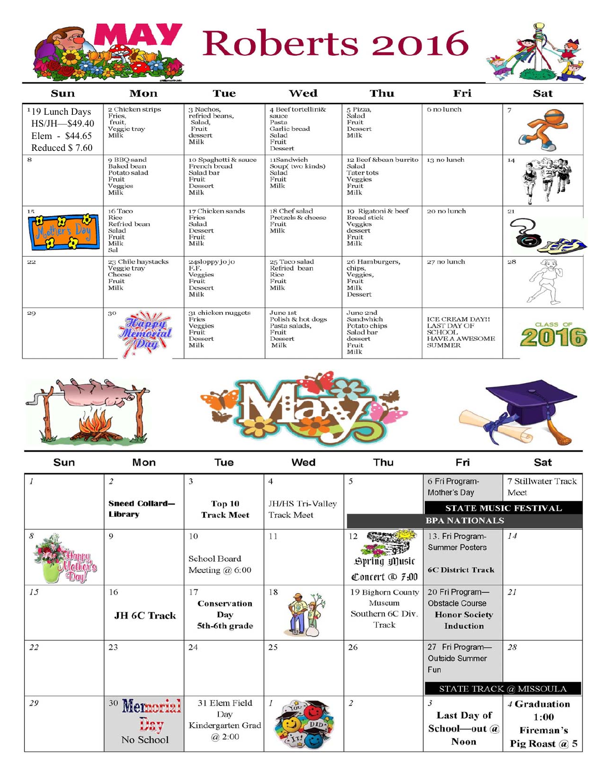

Roberts 2016



| Sun                                                                                  | Mon                                                                         | Tue                                                                           | Wed                                                                               | Thu                                                                             | Fri                                                                                                     | Sat             |
|--------------------------------------------------------------------------------------|-----------------------------------------------------------------------------|-------------------------------------------------------------------------------|-----------------------------------------------------------------------------------|---------------------------------------------------------------------------------|---------------------------------------------------------------------------------------------------------|-----------------|
| <sup>1</sup> 19 Lunch Days<br>$HS/JH$ - \$49.40<br>Elem - $$44.65$<br>Reduced \$7.60 | 2 Chicken strips<br>Fries,<br>fruit,<br>Veggie tray<br>Milk                 | 3 Nachos,<br>refried beans,<br>Salad,<br>Fruit<br>dessert<br>Milk             | 4 Beef tortellini&<br>sauce<br>Pasta<br>Garlic bread<br>Salad<br>Fruit<br>Dessert | 5 Pizza,<br>Salad<br>Fruit<br>Dessert<br>Milk                                   | 6 no lunch                                                                                              | 7               |
| 8                                                                                    | 9 BBO sand<br><b>Baked</b> bean<br>Potato salad<br>Fruit<br>Veggies<br>Milk | 10 Spaghetti & sauce<br>French bread<br>Salad bar<br>Fruit<br>Dessert<br>Milk | 11Sandwich<br>Soup(two kinds)<br>Salad<br>Fruit<br>Milk                           | 12 Beef &bean burrito<br>Salad<br>Tater tots<br>Veggies<br>Fruit<br>Milk        | 13 no lunch                                                                                             | 14              |
| 15                                                                                   | 16 Taco<br>Rice<br>Refried bean<br>Salad<br>Fruit<br>Milk<br>Sal            | 17 Chicken sands<br>Fries<br>Salad<br>Dessert<br>Fruit<br>Milk                | 18 Chef salad<br>Pretzels & cheese<br>Fruit<br>Milk                               | 19 Rigatoni & beef<br><b>Bread</b> stick<br>Veggies<br>dessert<br>Fruit<br>Milk | 20 no lunch                                                                                             | 21              |
| 22                                                                                   | 23 Chile haystacks<br>Veggie tray<br>Cheese<br>Fruit<br>Milk                | 24sloppy jo jo<br>F.F.<br>Veggies<br>Fruit<br>Dessert<br>Milk                 | 25 Taco salad<br>Refried bean<br>Rice<br>Fruit<br>Milk                            | 26 Hamburgers,<br>chips,<br>Veggies,<br>Fruit<br>Milk<br>Dessert                | 27 no lunch                                                                                             | 28              |
| 29                                                                                   | 30                                                                          | 31 chicken nuggets<br>Fries<br>Veggies<br>Fruit<br>Dessert<br>Milk            | June 1st<br>Polish & hot dogs<br>Pasta salads,<br>Fruit<br>Dessert<br>Milk        | June 2nd<br>Sandwhich<br>Potato chips<br>Salad bar<br>dessert<br>Fruit<br>Milk  | <b>ICE CREAM DAY!!</b><br><b>LAST DAY OF</b><br><b>SCHOOL</b><br><b>HAVE A AWESOME</b><br><b>SUMMER</b> | <b>CLASS OF</b> |







| Sun           | Mon                                         | Tue                                                | Wed               | Thu                                                      | Fri                                                                                   | Sat                                                |  |
|---------------|---------------------------------------------|----------------------------------------------------|-------------------|----------------------------------------------------------|---------------------------------------------------------------------------------------|----------------------------------------------------|--|
| $\mathcal{I}$ | $\overline{2}$                              | 3                                                  | $\overline{4}$    | 5                                                        | 6 Fri Program-<br>Mother's Day                                                        | <b>7 Stillwater Track</b><br>Meet                  |  |
|               | <b>Sneed Collard-</b><br>Library            | Top <sub>10</sub>                                  | JH/HS Tri-Valley  |                                                          |                                                                                       | <b>STATE MUSIC FESTIVAL</b>                        |  |
|               |                                             | <b>Track Meet</b>                                  | <b>Track Meet</b> |                                                          | <b>BPA NATIONALS</b>                                                                  |                                                    |  |
| 8             | 9                                           | 10<br>School Board<br>Meeting $@6:00$              | 11                | 12<br>Spring Music<br>Concert $\circledR$ 7:00           | 13. Fri Program-<br><b>Summer Posters</b><br><b>6C District Track</b>                 | 14                                                 |  |
| 15            | 16<br>JH 6C Track                           | 17<br><b>Conservation</b><br>Day<br>5th-6th grade  | 18                | 19 Bighorn County<br>Museum<br>Southern 6C Div.<br>Track | 20 Fri Program-<br><b>Obstacle Course</b><br><b>Honor Society</b><br><b>Induction</b> | 21                                                 |  |
| 22            | 23                                          | 24                                                 | 25                | 26                                                       | 27 Fri Program-<br><b>Outside Summer</b><br>Fun                                       | 28<br>STATE TRACK @ MISSOULA                       |  |
| 29            | <sup>30</sup> Memorial<br>IJav<br>No School | 31 Elem Field<br>Day<br>Kindergarten Grad<br>@2:00 | DII               | $\overline{2}$                                           | 3<br><b>Last Day of</b><br>School-out $\omega$<br>Noon                                | 4 Graduation<br>1:00<br>Fireman's<br>Pig Roast @ 5 |  |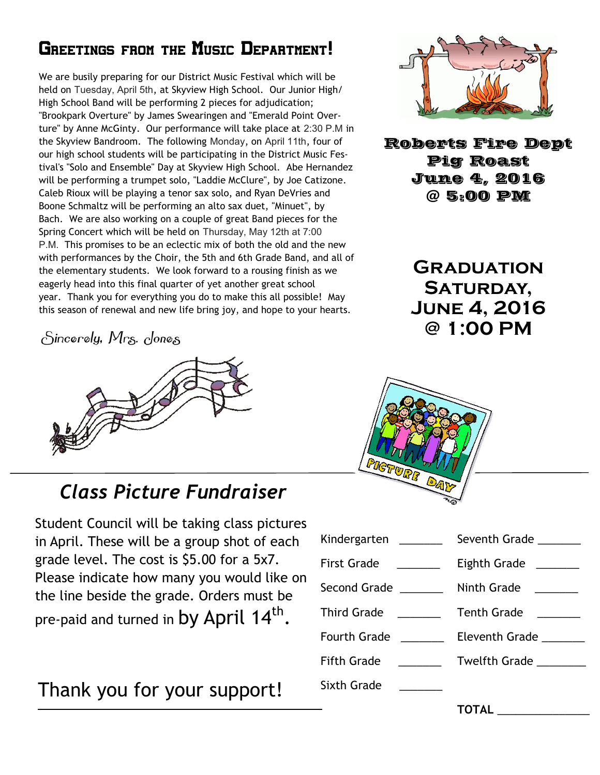## GREETINGS FROM THE MUSIC DEPARTMENT!

We are busily preparing for our District Music Festival which will be held on Tuesday, April 5th, at Skyview High School. Our Junior High/ High School Band will be performing 2 pieces for adjudication; "Brookpark Overture" by James Swearingen and "Emerald Point Overture" by Anne McGinty. Our performance will take place at 2:30 P.M in the Skyview Bandroom. The following Monday, on April 11th, four of our high school students will be participating in the District Music Festival's "Solo and Ensemble" Day at Skyview High School. Abe Hernandez will be performing a trumpet solo, "Laddie McClure", by Joe Catizone. Caleb Rioux will be playing a tenor sax solo, and Ryan DeVries and Boone Schmaltz will be performing an alto sax duet, "Minuet", by Bach. We are also working on a couple of great Band pieces for the Spring Concert which will be held on Thursday, May 12th at 7:00 P.M. This promises to be an eclectic mix of both the old and the new with performances by the Choir, the 5th and 6th Grade Band, and all of the elementary students. We look forward to a rousing finish as we eagerly head into this final quarter of yet another great school year. Thank you for everything you do to make this all possible! May this season of renewal and new life bring joy, and hope to your hearts.

Sincerely, Mrs. Jones



# *Class Picture Fundraiser*

Student Council will be taking class pictures in April. These will be a group shot of each grade level. The cost is \$5.00 for a 5x7. Please indicate how many you would like on the line beside the grade. Orders must be pre-paid and turned in by April 14<sup>th</sup>.

# Thank you for your support!



Roberts Fire Dept **June 4, 2016**  $Q$  5:00 PM  $\frac{1}{2}$   $\frac{1}{2}$   $\frac{1}{2}$   $\frac{1}{2}$   $\frac{1}{2}$   $\frac{1}{2}$ 

> **Graduation**  SATURDAY, **June 4, 2016 @ 1:00 PM**



| Kindergarten _______                                                                                                                                                                                                                                                                                                                                                                                                                                                        | Seventh Grade                                        |
|-----------------------------------------------------------------------------------------------------------------------------------------------------------------------------------------------------------------------------------------------------------------------------------------------------------------------------------------------------------------------------------------------------------------------------------------------------------------------------|------------------------------------------------------|
| <b>First Grade</b><br>$\begin{tabular}{ccccc} \multicolumn{2}{c }{\textbf{1} & \multicolumn{2}{c }{\textbf{2} & \multicolumn{2}{c }{\textbf{3} & \multicolumn{2}{c }{\textbf{4} & \multicolumn{2}{c }{\textbf{5} & \multicolumn{2}{c }{\textbf{6} & \multicolumn{2}{c }{\textbf{6} & \multicolumn{2}{c }{\textbf{6} & \multicolumn{2}{c }{\textbf{6} & \multicolumn{2}{c }{\textbf{6} & \multicolumn{2}{c }{\textbf{6} & \multicolumn{2}{c }{\textbf{6} & \multicolumn{2}{$ | Eighth Grade _______                                 |
| Second Grade _______                                                                                                                                                                                                                                                                                                                                                                                                                                                        | Ninth Grade<br><u> a shekara ta 1999 a shekara t</u> |
| <b>Third Grade</b><br>$\overline{\phantom{a}}$ and $\overline{\phantom{a}}$                                                                                                                                                                                                                                                                                                                                                                                                 | <b>Tenth Grade</b>                                   |
| <b>Fourth Grade</b>                                                                                                                                                                                                                                                                                                                                                                                                                                                         | Eleventh Grade _______                               |
| <b>Fifth Grade</b>                                                                                                                                                                                                                                                                                                                                                                                                                                                          | Twelfth Grade ________                               |
| <b>Sixth Grade</b>                                                                                                                                                                                                                                                                                                                                                                                                                                                          |                                                      |
|                                                                                                                                                                                                                                                                                                                                                                                                                                                                             |                                                      |

**TOTAL** \_\_\_\_\_\_\_\_\_\_\_\_\_\_\_